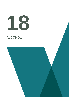# **18**

# ALCOHOL

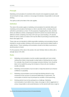## **Principle**

Marketing communications for alcoholic drinks should not be targeted at people under 18 and should not imply, condone or encourage immoderate, irresponsible or anti-social drinking.

The spirit as well as the letter of the rules applies.

## **Definition**

The rules in this section apply to marketing communications for alcoholic drinks and marketing communications that feature or refer to alcoholic drinks, including where a soft drink is promoted as a mixer. For the purposes of applying these rules, alcoholic drinks are defined as drinks containingmore than0.5% alcohol; low-alcohol drinks are defined as drinks containing more than 0.5% and up to and including 1.2% alcohol. Where an ad for a drink at or below 0.5% has the effect of promoting an alcoholic drink, these rules apply in full.

These rules are not intended to inhibit responsible marketing communications that are intended to counter problem drinking or tell consumers about alcohol-related health or safety themes. Those marketing communications should not be likely to promote an alcohol product or brand.

For the purposes of the rules in this section, the word 'drink(s)' refers to drinks with a strength above 0.5% ABV.

### **Rules**

- 18.1 Marketing communications must be socially responsible and must contain nothing that is likely to lead people to adopt styles of drinking that are unwise. For example, they should not encourage excessive drinking. Care should be taken not to exploit the young, the immature or those who are mentally or socially vulnerable.
- 18.2 Marketing communications must not claim or imply that alcohol can enhance confidence or popularity.
- 18.3 Marketing communications must not imply that drinking alcohol is a key component of the success of a personal relationship or social event. The consumption of alcohol may be portrayed as sociable or thirst-quenching.
- 18.4 Drinking alcohol must not be portrayed as a challenge. Marketing communications must neither show, imply, encourage or refer to aggression or unruly, irresponsible or anti-social behaviour nor link alcohol with brave, tough or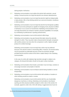daring people or behaviour.

- 18.5 Marketing communications must neither link alcohol with seduction, sexual activity or sexual success nor imply that alcohol can enhance attractiveness.
- 18.6 Marketing communications must not imply that alcohol might be indispensable or take priority in life or that drinking alcohol can overcome boredom, loneliness or other problems.
- 18.7 Marketing communications must not imply that alcohol has therapeutic qualities. Alcohol must not be portrayed as capable of changing mood, physical condition or behaviour or as a source of nourishment. Marketing communications must not imply that alcohol can enhance mental or physical capabilities; for example, by contributing to professional or sporting achievements.
- 18.8 Marketing communications must not link alcohol to illicit drugs.
- 18.9 Marketing communications may give factual information about the alcoholic strength of a drink. They may also make a factual alcohol strength comparison with another product, but only when the comparison is with a higher-strength product of a similar beverage.

Marketing communications must not imply that a drink may be preferred because of its alcohol content or intoxicating effect. However, low-alcohol drinks may be presented as preferable because of their low alcoholic strength, provided that the alcohol content of the drink is stated clearly in the marketing communication.

In the case of a drink with relatively high alcoholic strength in relation to its category, the factual information should not be given undue emphasis.

- 18.10 Marketing communications that include a promotion must not imply, condone or encourage excessive consumption of alcohol.
- 18.11 Marketing communications must not feature alcohol being handled or served irresponsibly.
- 18.12 Marketing communications must not link alcohol with activities or locations in which drinking would be unsafe or unwise.

Marketing communications must not link alcohol with the use of potentially dangerous machinery or driving. Marketing communications may feature sporting and other physical activities (subject to other rules in this section; for example, appeal to under-18s or link with daring or aggression) but must not